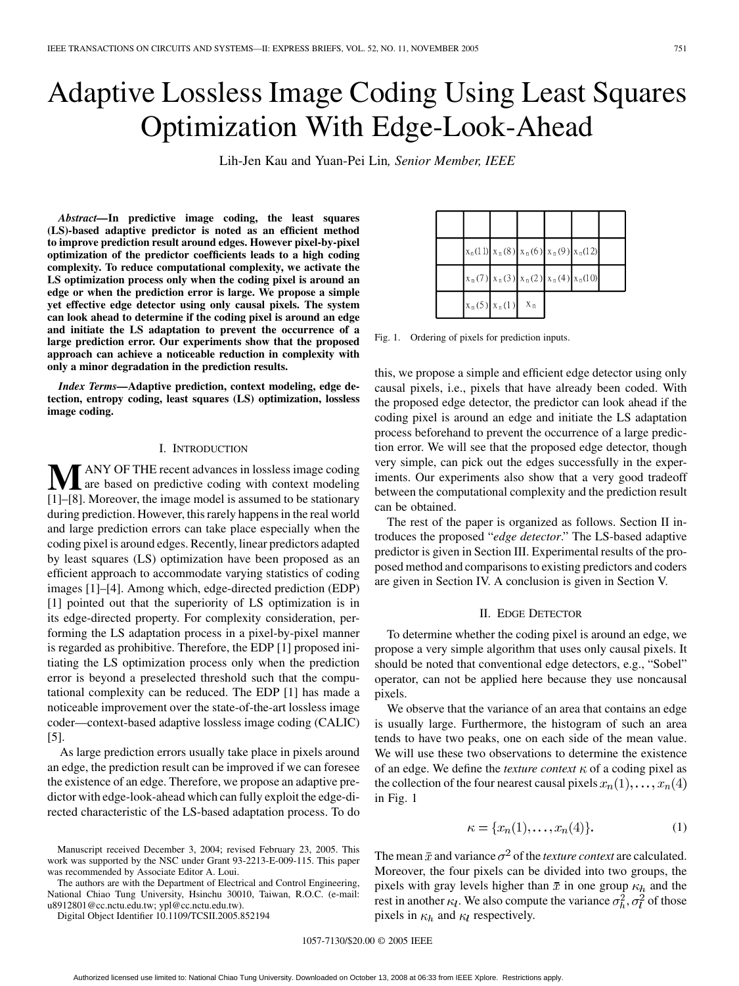# Adaptive Lossless Image Coding Using Least Squares Optimization With Edge-Look-Ahead

Lih-Jen Kau and Yuan-Pei Lin*, Senior Member, IEEE*

*Abstract—***In predictive image coding, the least squares (LS)-based adaptive predictor is noted as an efficient method to improve prediction result around edges. However pixel-by-pixel optimization of the predictor coefficients leads to a high coding complexity. To reduce computational complexity, we activate the LS optimization process only when the coding pixel is around an edge or when the prediction error is large. We propose a simple yet effective edge detector using only causal pixels. The system can look ahead to determine if the coding pixel is around an edge and initiate the LS adaptation to prevent the occurrence of a large prediction error. Our experiments show that the proposed approach can achieve a noticeable reduction in complexity with only a minor degradation in the prediction results.**

*Index Terms—***Adaptive prediction, context modeling, edge detection, entropy coding, least squares (LS) optimization, lossless image coding.**

#### I. INTRODUCTION

**M**ANY OF THE recent advances in lossless image coding<br>are based on predictive coding with context modeling<br>[11, [9] Mereover, the image model is equived to be attitudent [\[1](#page-4-0)]–[\[8\]](#page-4-0). Moreover, the image model is assumed to be stationary during prediction. However, this rarely happens in the real world and large prediction errors can take place especially when the coding pixel is around edges. Recently, linear predictors adapted by least squares (LS) optimization have been proposed as an efficient approach to accommodate varying statistics of coding images [\[1](#page-4-0)]–[[4\]](#page-4-0). Among which, edge-directed prediction (EDP) [\[1](#page-4-0)] pointed out that the superiority of LS optimization is in its edge-directed property. For complexity consideration, performing the LS adaptation process in a pixel-by-pixel manner is regarded as prohibitive. Therefore, the EDP [[1\]](#page-4-0) proposed initiating the LS optimization process only when the prediction error is beyond a preselected threshold such that the computational complexity can be reduced. The EDP [\[1](#page-4-0)] has made a noticeable improvement over the state-of-the-art lossless image coder—context-based adaptive lossless image coding (CALIC) [\[5](#page-4-0)].

As large prediction errors usually take place in pixels around an edge, the prediction result can be improved if we can foresee the existence of an edge. Therefore, we propose an adaptive predictor with edge-look-ahead which can fully exploit the edge-directed characteristic of the LS-based adaptation process. To do

Manuscript received December 3, 2004; revised February 23, 2005. This work was supported by the NSC under Grant 93-2213-E-009-115. This paper was recommended by Associate Editor A. Loui.

The authors are with the Department of Electrical and Control Engineering, National Chiao Tung University, Hsinchu 30010, Taiwan, R.O.C. (e-mail: u8912801@cc.nctu.edu.tw; ypl@cc.nctu.edu.tw).

Digital Object Identifier 10.1109/TCSII.2005.852194

|  | $x_n(11)$ $x_n(8)$ $x_n(6)$ $x_n(9)$ $x_n(12)$ |       |  |  |
|--|------------------------------------------------|-------|--|--|
|  | $x_n(7)$ $x_n(3)$ $x_n(2)$ $x_n(4)$ $x_n(10)$  |       |  |  |
|  | $x_n(5)$ $x_n(1)$                              | $X_n$ |  |  |

Fig. 1. Ordering of pixels for prediction inputs.

this, we propose a simple and efficient edge detector using only causal pixels, i.e., pixels that have already been coded. With the proposed edge detector, the predictor can look ahead if the coding pixel is around an edge and initiate the LS adaptation process beforehand to prevent the occurrence of a large prediction error. We will see that the proposed edge detector, though very simple, can pick out the edges successfully in the experiments. Our experiments also show that a very good tradeoff between the computational complexity and the prediction result can be obtained.

The rest of the paper is organized as follows. Section II introduces the proposed "*edge detector*." The LS-based adaptive predictor is given in Section III. Experimental results of the proposed method and comparisons to existing predictors and coders are given in Section IV. A conclusion is given in Section V.

#### II. EDGE DETECTOR

To determine whether the coding pixel is around an edge, we propose a very simple algorithm that uses only causal pixels. It should be noted that conventional edge detectors, e.g., "Sobel" operator, can not be applied here because they use noncausal pixels.

We observe that the variance of an area that contains an edge is usually large. Furthermore, the histogram of such an area tends to have two peaks, one on each side of the mean value. We will use these two observations to determine the existence of an edge. We define the *texture context*  $\kappa$  of a coding pixel as the collection of the four nearest causal pixels  $x_n(1), \ldots, x_n(4)$ in Fig. 1

$$
\kappa = \{x_n(1), \dots, x_n(4)\}.
$$
 (1)

The mean  $\bar{x}$  and variance  $\sigma^2$  of the *texture context* are calculated. Moreover, the four pixels can be divided into two groups, the pixels with gray levels higher than  $\bar{x}$  in one group  $\kappa_h$  and the rest in another  $\kappa_l$ . We also compute the variance  $\sigma_h^2$ ,  $\sigma_l^2$  of those pixels in  $\kappa_h$  and  $\kappa_l$  respectively.

1057-7130/\$20.00 © 2005 IEEE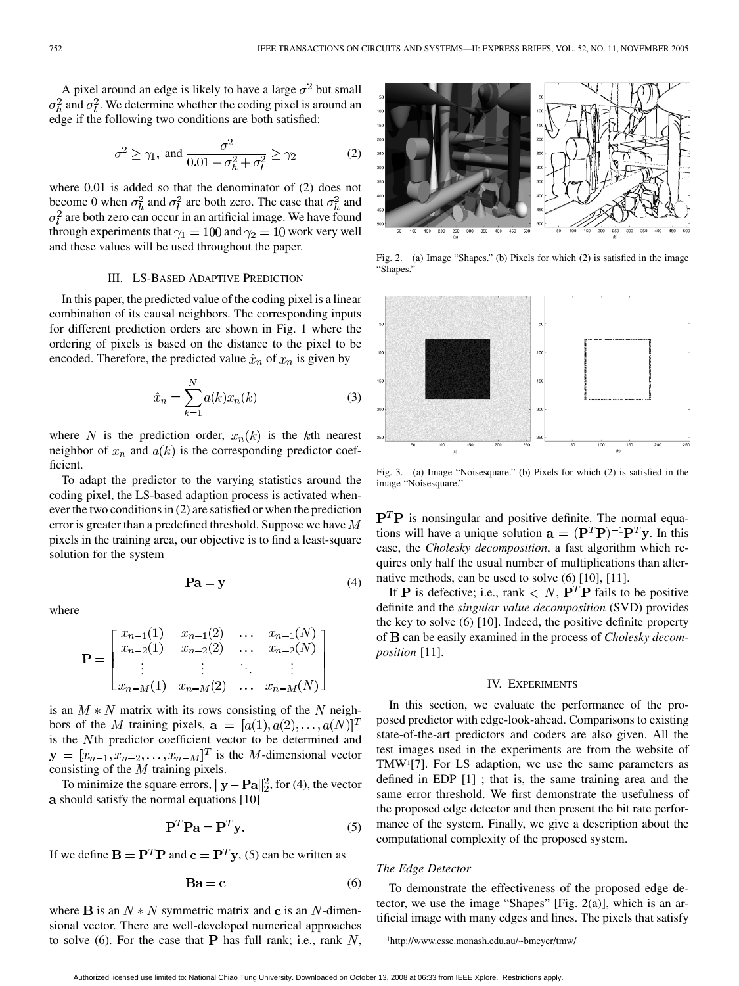A pixel around an edge is likely to have a large  $\sigma^2$  but small  $\sigma_b^2$  and  $\sigma_t^2$ . We determine whether the coding pixel is around an edge if the following two conditions are both satisfied:

$$
\sigma^2 \ge \gamma_1, \text{ and } \frac{\sigma^2}{0.01 + \sigma_h^2 + \sigma_l^2} \ge \gamma_2 \tag{2}
$$

where 0.01 is added so that the denominator of (2) does not become 0 when  $\sigma_h^2$  and  $\sigma_l^2$  are both zero. The case that  $\sigma_h^2$  and  $\sigma_l^2$  are both zero can occur in an artificial image. We have found through experiments that  $\gamma_1 = 100$  and  $\gamma_2 = 10$  work very well and these values will be used throughout the paper.

#### III. LS-BASED ADAPTIVE PREDICTION

In this paper, the predicted value of the coding pixel is a linear combination of its causal neighbors. The corresponding inputs for different prediction orders are shown in Fig. 1 where the ordering of pixels is based on the distance to the pixel to be encoded. Therefore, the predicted value  $\hat{x}_n$  of  $x_n$  is given by

$$
\hat{x}_n = \sum_{k=1}^N a(k)x_n(k) \tag{3}
$$

where N is the prediction order,  $x_n(k)$  is the kth nearest neighbor of  $x_n$  and  $a(k)$  is the corresponding predictor coefficient.

To adapt the predictor to the varying statistics around the coding pixel, the LS-based adaption process is activated whenever the two conditions in (2) are satisfied or when the prediction error is greater than a predefined threshold. Suppose we have  $M$ pixels in the training area, our objective is to find a least-square solution for the system

$$
\mathbf{Pa} = \mathbf{y} \tag{4}
$$

where

$$
\mathbf{P} = \begin{bmatrix} x_{n-1}(1) & x_{n-1}(2) & \dots & x_{n-1}(N) \\ x_{n-2}(1) & x_{n-2}(2) & \dots & x_{n-2}(N) \\ \vdots & \vdots & \ddots & \vdots \\ x_{n-M}(1) & x_{n-M}(2) & \dots & x_{n-M}(N) \end{bmatrix}
$$

is an  $M*N$  matrix with its rows consisting of the N neighbors of the M training pixels,  $\mathbf{a} = [a(1), a(2), \dots, a(N)]^T$ is the Nth predictor coefficient vector to be determined and  $\mathbf{y} = [x_{n-1}, x_{n-2}, \dots, x_{n-M}]^T$  is the *M*-dimensional vector consisting of the  $M$  training pixels.

To minimize the square errors,  $||\mathbf{y} - \mathbf{Pa}||_2^2$ , for (4), the vector a should satisfy the normal equations [[10\]](#page-4-0)

$$
\mathbf{P}^T \mathbf{P} \mathbf{a} = \mathbf{P}^T \mathbf{y}.\tag{5}
$$

If we define  $\mathbf{B} = \mathbf{P}^T \mathbf{P}$  and  $\mathbf{c} = \mathbf{P}^T \mathbf{y}$ , (5) can be written as

$$
\mathbf{Ba} = \mathbf{c} \tag{6}
$$

where **B** is an  $N * N$  symmetric matrix and **c** is an  $N$ -dimensional vector. There are well-developed numerical approaches to solve (6). For the case that **P** has full rank; i.e., rank  $N$ ,



Fig. 2. (a) Image "Shapes." (b) Pixels for which (2) is satisfied in the image "Shapes."



Fig. 3. (a) Image "Noisesquare." (b) Pixels for which (2) is satisfied in the image "Noisesquare."

 $\mathbf{P}^T \mathbf{P}$  is nonsingular and positive definite. The normal equations will have a unique solution  $\mathbf{a} = (\mathbf{P}^T \mathbf{P})^{-1} \mathbf{P}^T \mathbf{y}$ . In this case, the *Cholesky decomposition*, a fast algorithm which requires only half the usual number of multiplications than alter-native methods, can be used to solve (6) [[10\]](#page-4-0), [\[11](#page-4-0)].

If **P** is defective; i.e., rank  $\langle N, \mathbf{P}^T \mathbf{P} \rangle$  fails to be positive definite and the *singular value decomposition* (SVD) provides the key to solve (6) [[10\]](#page-4-0). Indeed, the positive definite property of **B** can be easily examined in the process of *Cholesky decomposition* [\[11](#page-4-0)].

#### IV. EXPERIMENTS

In this section, we evaluate the performance of the proposed predictor with edge-look-ahead. Comparisons to existing state-of-the-art predictors and coders are also given. All the test images used in the experiments are from the website of TMW1[\[7](#page-4-0)]. For LS adaption, we use the same parameters as defined in EDP [\[1](#page-4-0)] ; that is, the same training area and the same error threshold. We first demonstrate the usefulness of the proposed edge detector and then present the bit rate performance of the system. Finally, we give a description about the computational complexity of the proposed system.

# *The Edge Detector*

To demonstrate the effectiveness of the proposed edge detector, we use the image "Shapes" [Fig. 2(a)], which is an artificial image with many edges and lines. The pixels that satisfy

1http://www.csse.monash.edu.au/~bmeyer/tmw/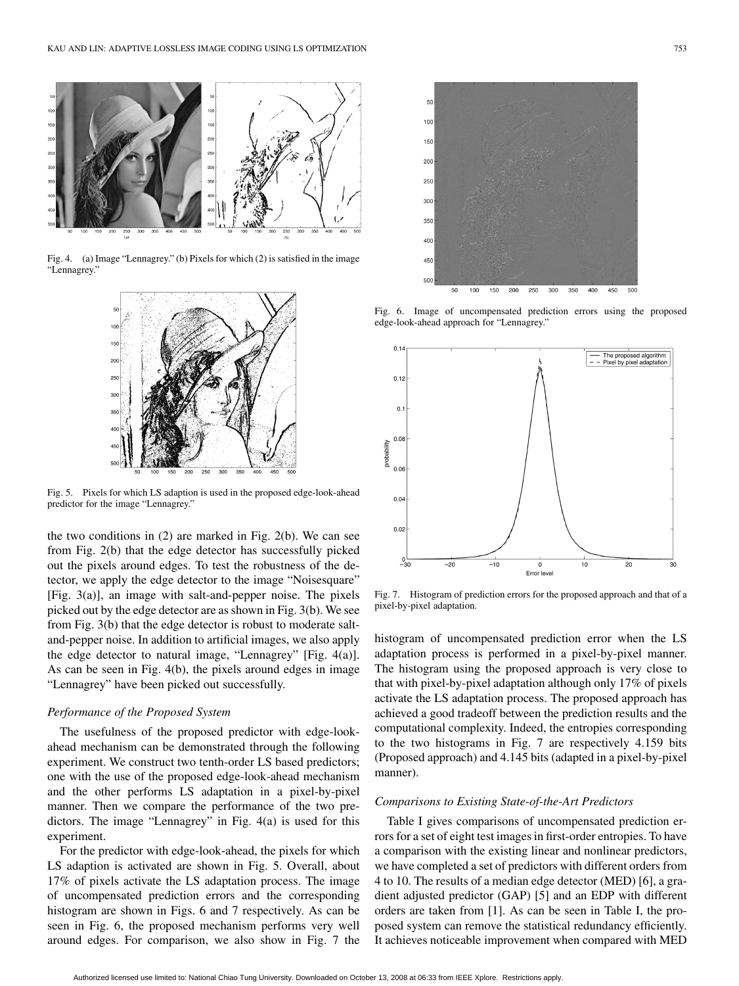

Fig. 4. (a) Image "Lennagrey." (b) Pixels for which (2) is satisfied in the image "Lennagrey."



Fig. 5. Pixels for which LS adaption is used in the proposed edge-look-ahead predictor for the image "Lennagrey."

the two conditions in (2) are marked in Fig. 2(b). We can see from Fig. 2(b) that the edge detector has successfully picked out the pixels around edges. To test the robustness of the detector, we apply the edge detector to the image "Noisesquare" [Fig. 3(a)], an image with salt-and-pepper noise. The pixels picked out by the edge detector are as shown in Fig. 3(b). We see from Fig. 3(b) that the edge detector is robust to moderate saltand-pepper noise. In addition to artificial images, we also apply the edge detector to natural image, "Lennagrey" [Fig. 4(a)]. As can be seen in Fig. 4(b), the pixels around edges in image "Lennagrey" have been picked out successfully.

#### *Performance of the Proposed System*

The usefulness of the proposed predictor with edge-lookahead mechanism can be demonstrated through the following experiment. We construct two tenth-order LS based predictors; one with the use of the proposed edge-look-ahead mechanism and the other performs LS adaptation in a pixel-by-pixel manner. Then we compare the performance of the two predictors. The image "Lennagrey" in Fig. 4(a) is used for this experiment.

For the predictor with edge-look-ahead, the pixels for which LS adaption is activated are shown in Fig. 5. Overall, about 17% of pixels activate the LS adaptation process. The image of uncompensated prediction errors and the corresponding histogram are shown in Figs. 6 and 7 respectively. As can be seen in Fig. 6, the proposed mechanism performs very well around edges. For comparison, we also show in Fig. 7 the



Fig. 6. Image of uncompensated prediction errors using the proposed edge-look-ahead approach for "Lennagrey."



Fig. 7. Histogram of prediction errors for the proposed approach and that of a pixel-by-pixel adaptation.

histogram of uncompensated prediction error when the LS adaptation process is performed in a pixel-by-pixel manner. The histogram using the proposed approach is very close to that with pixel-by-pixel adaptation although only 17% of pixels activate the LS adaptation process. The proposed approach has achieved a good tradeoff between the prediction results and the computational complexity. Indeed, the entropies corresponding to the two histograms in Fig. 7 are respectively 4.159 bits (Proposed approach) and 4.145 bits (adapted in a pixel-by-pixel manner).

# *Comparisons to Existing State-of-the-Art Predictors*

Table I gives comparisons of uncompensated prediction errors for a set of eight test images in first-order entropies. To have a comparison with the existing linear and nonlinear predictors, we have completed a set of predictors with different orders from 4 to 10. The results of a median edge detector (MED) [[6\]](#page-4-0), a gradient adjusted predictor (GAP) [\[5](#page-4-0)] and an EDP with different orders are taken from [[1\]](#page-4-0). As can be seen in Table I, the proposed system can remove the statistical redundancy efficiently. It achieves noticeable improvement when compared with MED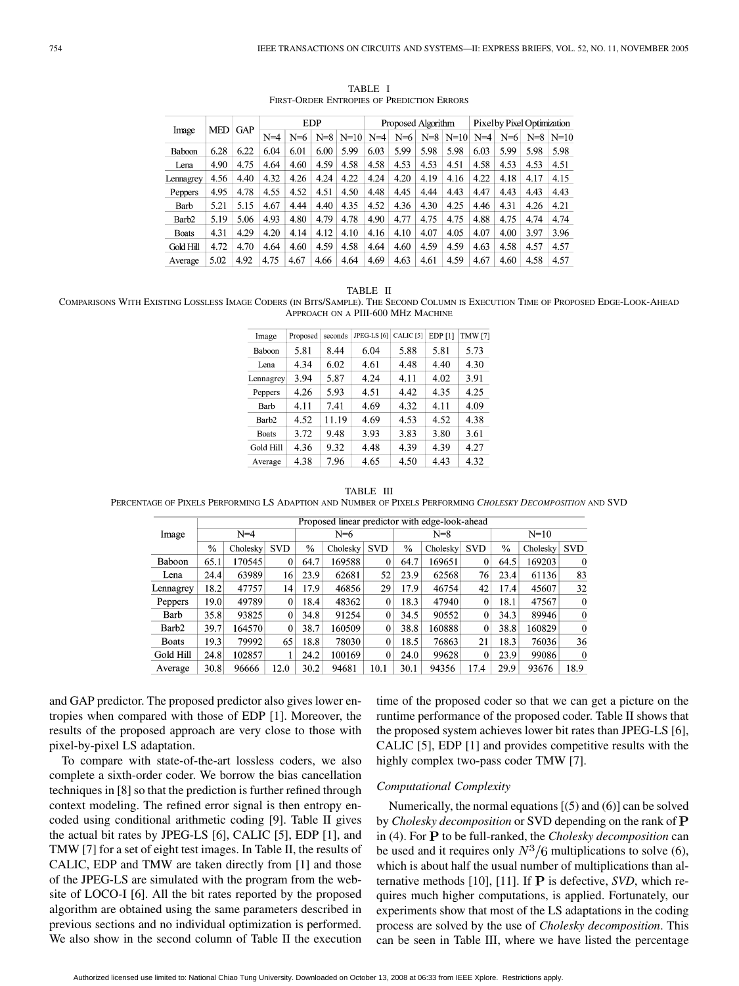| Image             |      | GAP  | <b>EDP</b> |       |       | Proposed Algorithm |       |      |       | Pixel by Pixel Optimization |       |       |       |        |
|-------------------|------|------|------------|-------|-------|--------------------|-------|------|-------|-----------------------------|-------|-------|-------|--------|
|                   | MED  |      | $N=4$      | $N=6$ | $N=8$ | $N=10$             | $N=4$ | N=6  | $N=8$ | $N=10$                      | $N=4$ | $N=6$ | $N=8$ | $N=10$ |
| Baboon            | 6.28 | 6.22 | 6.04       | 6.01  | 6.00  | 5.99               | 6.03  | 5.99 | 5.98  | 5.98                        | 6.03  | 5.99  | 5.98  | 5.98   |
| Lena              | 4.90 | 4.75 | 4.64       | 4.60  | 4.59  | 4.58               | 4.58  | 4.53 | 4.53  | 4.51                        | 4.58  | 4.53  | 4.53  | 4.51   |
| Lennagrey         | 4.56 | 4.40 | 4.32       | 4.26  | 4.24  | 4.22               | 4.24  | 4.20 | 4.19  | 4.16                        | 4.22  | 4.18  | 4.17  | 4.15   |
| Peppers           | 4.95 | 4.78 | 4.55       | 4.52  | 4.51  | 4.50               | 4.48  | 4.45 | 4.44  | 4.43                        | 4.47  | 4.43  | 4.43  | 4.43   |
| Barb              | 5.21 | 5.15 | 4.67       | 4.44  | 4.40  | 4.35               | 4.52  | 4.36 | 4.30  | 4.25                        | 4.46  | 4.31  | 4.26  | 4.21   |
| Barb <sub>2</sub> | 5.19 | 5.06 | 4.93       | 4.80  | 4.79  | 4.78               | 4.90  | 4.77 | 4.75  | 4.75                        | 4.88  | 4.75  | 4.74  | 4.74   |
| <b>Boats</b>      | 4.31 | 4.29 | 4.20       | 4.14  | 4.12  | 4.10               | 4.16  | 4.10 | 4.07  | 4.05                        | 4.07  | 4.00  | 3.97  | 3.96   |
| Gold Hill         | 4.72 | 4.70 | 4.64       | 4.60  | 4.59  | 4.58               | 4.64  | 4.60 | 4.59  | 4.59                        | 4.63  | 4.58  | 4.57  | 4.57   |
| Average           | 5.02 | 4.92 | 4.75       | 4.67  | 4.66  | 4.64               | 4.69  | 4.63 | 4.61  | 4.59                        | 4.67  | 4.60  | 4.58  | 4.57   |

TABLE I FIRST-ORDER ENTROPIES OF PREDICTION ERRORS

TABLE II

COMPARISONS WITH EXISTING LOSSLESS IMAGE CODERS (IN BITS/SAMPLE). THE SECOND COLUMN IS EXECUTION TIME OF PROPOSED EDGE-LOOK-AHEAD APPROACH ON A PIII-600 MHZ MACHINE

| Proposed | seconds | JPEG-LS [6] | CALIC <sup>[5]</sup> | EDP [1] | <b>TMW</b> [7] |
|----------|---------|-------------|----------------------|---------|----------------|
| 5.81     | 8.44    | 6.04        | 5.88                 | 5.81    | 5.73           |
| 4.34     | 6.02    | 4.61        | 4.48                 | 4.40    | 4.30           |
| 3.94     | 5.87    | 4.24        | 4.11                 | 4.02    | 3.91           |
| 4.26     | 5.93    | 4.51        | 4.42                 | 4.35    | 4.25           |
| 4.11     | 7.41    | 4.69        | 4.32                 | 4.11    | 4.09           |
| 4.52     | 11.19   | 4.69        | 4.53                 | 4.52    | 4.38           |
| 3.72     | 9.48    | 3.93        | 3.83                 | 3.80    | 3.61           |
| 4.36     | 9.32    | 4.48        | 4.39                 | 4.39    | 4.27           |
| 4.38     | 7.96    | 4.65        | 4.50                 | 4.43    | 4.32           |
|          |         |             |                      |         |                |

TABLE III PERCENTAGE OF PIXELS PERFORMING LS ADAPTION AND NUMBER OF PIXELS PERFORMING *CHOLESKY DECOMPOSITION* AND SVD

|                   |               |          |            |               | Proposed linear predictor with edge-look-ahead |              |               |          |            |               |          |            |  |  |
|-------------------|---------------|----------|------------|---------------|------------------------------------------------|--------------|---------------|----------|------------|---------------|----------|------------|--|--|
| Image             | $N=4$         |          |            |               | $N=6$                                          |              |               | $N=8$    |            |               | $N = 10$ |            |  |  |
|                   | $\frac{0}{0}$ | Cholesky | <b>SVD</b> | $\frac{0}{0}$ | Cholesky                                       | <b>SVD</b>   | $\frac{0}{0}$ | Cholesky | <b>SVD</b> | $\frac{0}{0}$ | Cholesky | <b>SVD</b> |  |  |
| Baboon            | 65.1          | 170545   | $\Omega$   | 64.7          | 169588                                         | $\bf{0}$     | 64.7          | 169651   | 0          | 64.5          | 169203   | 0          |  |  |
| Lena              | 24.4          | 63989    | 16         | 23.9          | 62681                                          | 52           | 23.9          | 62568    | 76         | 23.4          | 61136    | 83         |  |  |
| Lennagrey         | 18.2          | 47757    | 14         | 17.9          | 46856                                          | 29           | 17.9          | 46754    | 42         | 17.4          | 45607    | 32         |  |  |
| Peppers           | 19.0          | 49789    | 0          | 18.4          | 48362                                          | 0            | 18.3          | 47940    | 0          | 18.1          | 47567    | 0          |  |  |
| Barb              | 35.8          | 93825    | $\Omega$   | 34.8          | 91254                                          | $\theta$     | 34.5          | 90552    | 0          | 34.3          | 89946    | $\theta$   |  |  |
| Barb <sub>2</sub> | 39.7          | 164570   | $\Omega$   | 38.7          | 160509                                         | $\mathbf{0}$ | 38.8          | 160888   | 0          | 38.8          | 160829   | $\theta$   |  |  |
| <b>Boats</b>      | 19.3          | 79992    | 65         | 18.8          | 78030                                          | $\bf{0}$     | 18.5          | 76863    | 21         | 18.3          | 76036    | 36         |  |  |
| Gold Hill         | 24.8          | 102857   |            | 24.2          | 100169                                         | 0            | 24.0          | 99628    | 0          | 23.9          | 99086    | $\theta$   |  |  |
| Average           | 30.8          | 96666    | 12.0       | 30.2          | 94681                                          | 10.1         | 30.1          | 94356    | 17.4       | 29.9          | 93676    | 18.9       |  |  |

and GAP predictor. The proposed predictor also gives lower entropies when compared with those of EDP [[1\]](#page-4-0). Moreover, the results of the proposed approach are very close to those with pixel-by-pixel LS adaptation.

To compare with state-of-the-art lossless coders, we also complete a sixth-order coder. We borrow the bias cancellation techniques in [\[8](#page-4-0)] so that the prediction is further refined through context modeling. The refined error signal is then entropy encoded using conditional arithmetic coding [\[9](#page-4-0)]. Table II gives the actual bit rates by JPEG-LS [[6\]](#page-4-0), CALIC [[5\]](#page-4-0), EDP [[1](#page-4-0)], and TMW [\[7](#page-4-0)] for a set of eight test images. In Table II, the results of CALIC, EDP and TMW are taken directly from [[1\]](#page-4-0) and those of the JPEG-LS are simulated with the program from the website of LOCO-I [\[6](#page-4-0)]. All the bit rates reported by the proposed algorithm are obtained using the same parameters described in previous sections and no individual optimization is performed. We also show in the second column of Table II the execution

time of the proposed coder so that we can get a picture on the runtime performance of the proposed coder. Table II shows that the proposed system achieves lower bit rates than JPEG-LS [[6\]](#page-4-0), CALIC [[5\]](#page-4-0), EDP [\[1](#page-4-0)] and provides competitive results with the highly complex two-pass coder TMW [[7\]](#page-4-0).

### *Computational Complexity*

Numerically, the normal equations [(5) and (6)] can be solved by *Cholesky decomposition* or SVD depending on the rank of in (4). For P to be full-ranked, the *Cholesky decomposition* can be used and it requires only  $N^3/6$  multiplications to solve (6), which is about half the usual number of multiplications than al-ternative methods [[10\]](#page-4-0), [[11\]](#page-4-0). If  $P$  is defective, *SVD*, which requires much higher computations, is applied. Fortunately, our experiments show that most of the LS adaptations in the coding process are solved by the use of *Cholesky decomposition*. This can be seen in Table III, where we have listed the percentage